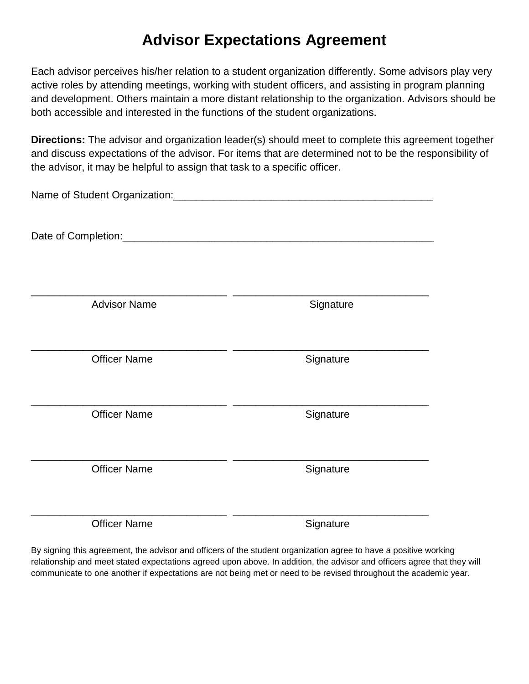## **Advisor Expectations Agreement**

Each advisor perceives his/her relation to a student organization differently. Some advisors play very active roles by attending meetings, working with student officers, and assisting in program planning and development. Others maintain a more distant relationship to the organization. Advisors should be both accessible and interested in the functions of the student organizations.

**Directions:** The advisor and organization leader(s) should meet to complete this agreement together and discuss expectations of the advisor. For items that are determined not to be the responsibility of the advisor, it may be helpful to assign that task to a specific officer.

| <b>Advisor Name</b> | Signature |  |
|---------------------|-----------|--|
| <b>Officer Name</b> | Signature |  |
| <b>Officer Name</b> | Signature |  |
| <b>Officer Name</b> | Signature |  |
| <b>Officer Name</b> | Signature |  |

By signing this agreement, the advisor and officers of the student organization agree to have a positive working relationship and meet stated expectations agreed upon above. In addition, the advisor and officers agree that they will communicate to one another if expectations are not being met or need to be revised throughout the academic year.